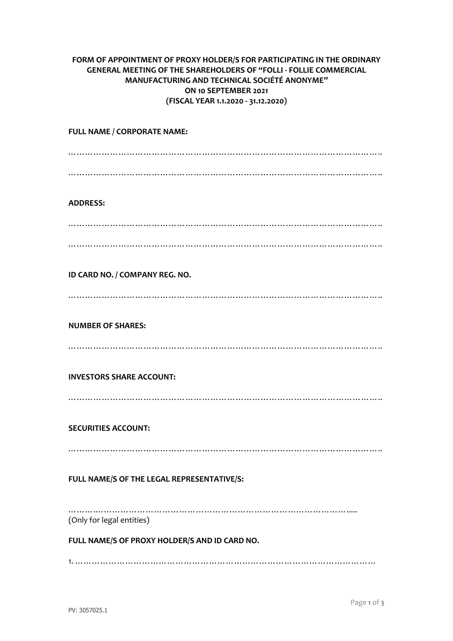## **FORM OF APPOINTMENT OF PROXY HOLDER/S FOR PARTICIPATING IN THE ORDINARY GENERAL MEETING OF THE SHAREHOLDERS OF "FOLLI - FOLLIE COMMERCIAL MANUFACTURING AND TECHNICAL SOCIÉTÉ ANONYME" ON 10 SEPTEMBER 2021 (FISCAL YEAR 1.1.2020 - 31.12.2020)**

**FULL NAME / CORPORATE NAME:** ………………………………………………………………………………………………….. ………………………………………………………………………………………………….. **ADDRESS:** ………………………………………………………………………………………………….. ………………………………………………………………………………………………….. **ID CARD NO. / COMPANY REG. NO.** ………………………………………………………………………………………………….. **NUMBER OF SHARES:** ………………………………………………………………………………………………….. **INVESTORS SHARE ACCOUNT:** ………………………………………………………………………………………………….. **SECURITIES ACCOUNT:** ………………………………………………………………………………………………….. **FULL NAME/S OF THE LEGAL REPRESENTATIVE/S:** …………………………………………………………………………………………… (Only for legal entities) **FULL NAME/S OF PROXY HOLDER/S AND ID CARD NO.**

1. ………………………………………………………………………………………………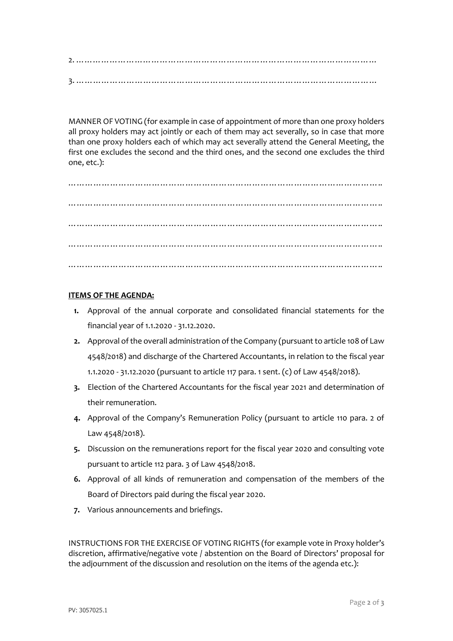2. ……………………………………………………………………………………………… 3. ………………………………………………………………………………………………

MANNER OF VOTING (for example in case of appointment of more than one proxy holders all proxy holders may act jointly or each of them may act severally, so in case that more than one proxy holders each of which may act severally attend the General Meeting, the first one excludes the second and the third ones, and the second one excludes the third one, etc.):

………………………………………………………………………………………………….. ………………………………………………………………………………………………….. ………………………………………………………………………………………………….. ………………………………………………………………………………………………….. …………………………………………………………………………………………………..

## **ITEMS OF THE AGENDA:**

- **1.** Approval of the annual corporate and consolidated financial statements for the financial year of 1.1.2020 - 31.12.2020.
- **2.** Approval of the overall administration of the Company (pursuant to article 108 of Law 4548/2018) and discharge of the Chartered Accountants, in relation to the fiscal year 1.1.2020 - 31.12.2020 (pursuant to article 117 para. 1 sent. (c) of Law 4548/2018).
- **3.** Election of the Chartered Accountants for the fiscal year 2021 and determination of their remuneration.
- **4.** Approval of the Company's Remuneration Policy (pursuant to article 110 para. 2 of Law 4548/2018).
- **5.** Discussion on the remunerations report for the fiscal year 2020 and consulting vote pursuant to article 112 para. 3 of Law 4548/2018.
- **6.** Approval of all kinds of remuneration and compensation of the members of the Board of Directors paid during the fiscal year 2020.
- **7.** Various announcements and briefings.

INSTRUCTIONS FOR THE EXERCISE OF VOTING RIGHTS (for example vote in Proxy holder's discretion, affirmative/negative vote / abstention on the Board of Directors' proposal for the adjournment of the discussion and resolution on the items of the agenda etc.):